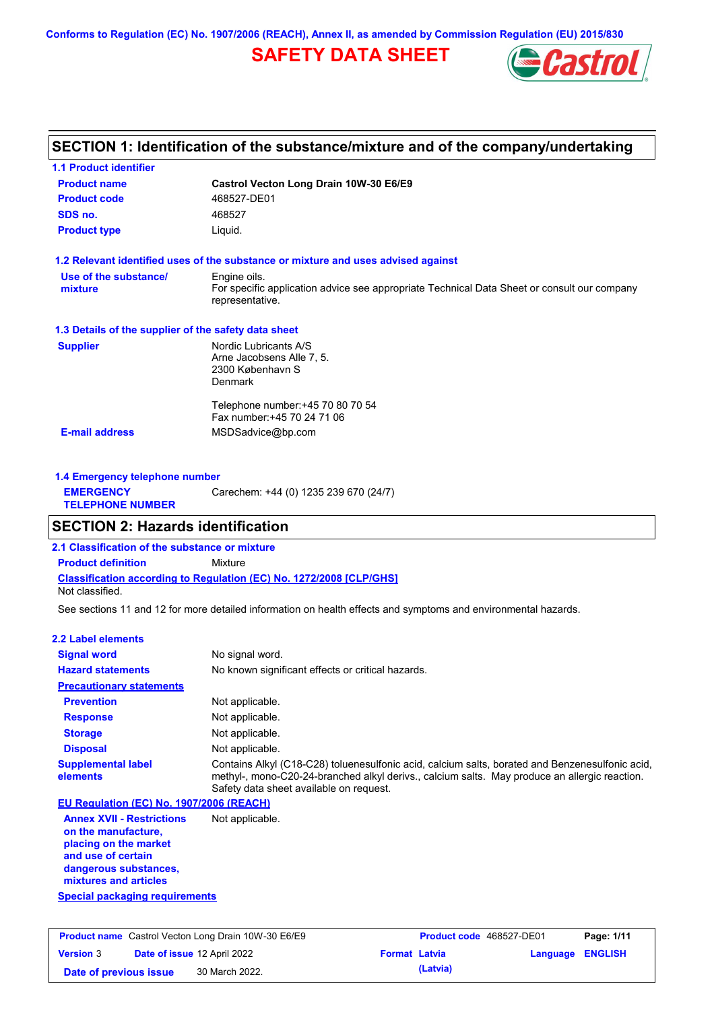**Conforms to Regulation (EC) No. 1907/2006 (REACH), Annex II, as amended by Commission Regulation (EU) 2015/830**

# **SAFETY DATA SHEET**



## **SECTION 1: Identification of the substance/mixture and of the company/undertaking**

| <b>Product name</b>                                  | Castrol Vecton Long Drain 10W-30 E6/E9                                                                         |
|------------------------------------------------------|----------------------------------------------------------------------------------------------------------------|
| <b>Product code</b>                                  | 468527-DE01                                                                                                    |
| SDS no.                                              | 468527                                                                                                         |
| <b>Product type</b>                                  | Liquid.                                                                                                        |
|                                                      | 1.2 Relevant identified uses of the substance or mixture and uses advised against                              |
| Use of the substance/                                | Engine oils.                                                                                                   |
| mixture                                              | For specific application advice see appropriate Technical Data Sheet or consult our company<br>representative. |
| 1.3 Details of the supplier of the safety data sheet |                                                                                                                |
| <b>Supplier</b>                                      | Nordic Lubricants A/S                                                                                          |
|                                                      | Arne Jacobsens Alle 7, 5.                                                                                      |
|                                                      | 2300 København S<br><b>Denmark</b>                                                                             |
|                                                      |                                                                                                                |
|                                                      | Telephone number: +45 70 80 70 54                                                                              |
|                                                      | Fax number: +45 70 24 71 06                                                                                    |
| <b>E-mail address</b>                                | MSDSadvice@bp.com                                                                                              |

| 1.4 Emergency telephone number              |                                       |
|---------------------------------------------|---------------------------------------|
| <b>EMERGENCY</b><br><b>TELEPHONE NUMBER</b> | Carechem: +44 (0) 1235 239 670 (24/7) |

### **SECTION 2: Hazards identification**

**2.1 Classification of the substance or mixture**

**Classification according to Regulation (EC) No. 1272/2008 [CLP/GHS] Product definition** Mixture

Not classified.

See sections 11 and 12 for more detailed information on health effects and symptoms and environmental hazards.

### **2.2 Label elements**

| <b>Signal word</b>                                                                                                                                       | No signal word.                                                                                                                                                                                                                             |
|----------------------------------------------------------------------------------------------------------------------------------------------------------|---------------------------------------------------------------------------------------------------------------------------------------------------------------------------------------------------------------------------------------------|
| <b>Hazard statements</b>                                                                                                                                 | No known significant effects or critical hazards.                                                                                                                                                                                           |
| <b>Precautionary statements</b>                                                                                                                          |                                                                                                                                                                                                                                             |
| <b>Prevention</b>                                                                                                                                        | Not applicable.                                                                                                                                                                                                                             |
| <b>Response</b>                                                                                                                                          | Not applicable.                                                                                                                                                                                                                             |
| <b>Storage</b>                                                                                                                                           | Not applicable.                                                                                                                                                                                                                             |
| <b>Disposal</b>                                                                                                                                          | Not applicable.                                                                                                                                                                                                                             |
| <b>Supplemental label</b><br>elements                                                                                                                    | Contains Alkyl (C18-C28) toluenesulfonic acid, calcium salts, borated and Benzenesulfonic acid,<br>methyl-, mono-C20-24-branched alkyl derivs., calcium salts. May produce an allergic reaction.<br>Safety data sheet available on request. |
| EU Regulation (EC) No. 1907/2006 (REACH)                                                                                                                 |                                                                                                                                                                                                                                             |
| <b>Annex XVII - Restrictions</b><br>on the manufacture,<br>placing on the market<br>and use of certain<br>dangerous substances,<br>mixtures and articles | Not applicable.                                                                                                                                                                                                                             |
| <b>Special packaging requirements</b>                                                                                                                    |                                                                                                                                                                                                                                             |

|                        | <b>Product name</b> Castrol Vecton Long Drain 10W-30 E6/E9 |                      | <b>Product code</b> 468527-DE01 |                         | Page: 1/11 |
|------------------------|------------------------------------------------------------|----------------------|---------------------------------|-------------------------|------------|
| <b>Version 3</b>       | Date of issue 12 April 2022                                | <b>Format Latvia</b> |                                 | <b>Language ENGLISH</b> |            |
| Date of previous issue | 30 March 2022.                                             |                      | (Latvia)                        |                         |            |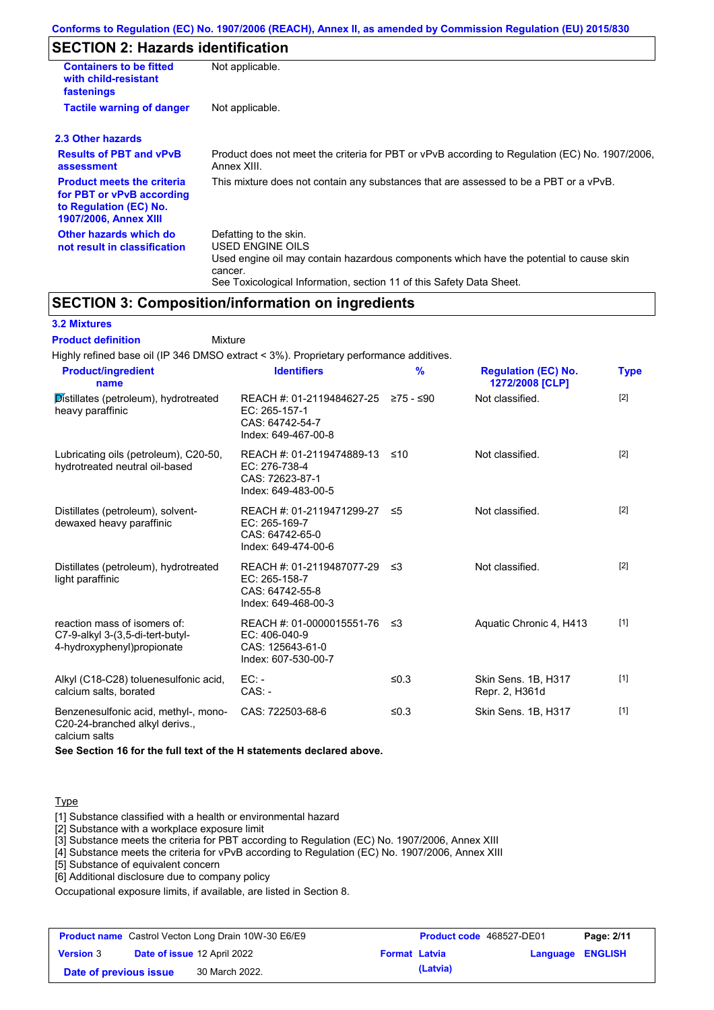# **SECTION 2: Hazards identification**

| <b>Containers to be fitted</b><br>with child-resistant<br>fastenings                                                     | Not applicable.                                                                                                                                                                                                          |
|--------------------------------------------------------------------------------------------------------------------------|--------------------------------------------------------------------------------------------------------------------------------------------------------------------------------------------------------------------------|
| <b>Tactile warning of danger</b>                                                                                         | Not applicable.                                                                                                                                                                                                          |
| 2.3 Other hazards                                                                                                        |                                                                                                                                                                                                                          |
| <b>Results of PBT and vPvB</b><br>assessment                                                                             | Product does not meet the criteria for PBT or vPvB according to Regulation (EC) No. 1907/2006,<br>Annex XIII.                                                                                                            |
| <b>Product meets the criteria</b><br>for PBT or vPvB according<br>to Regulation (EC) No.<br><b>1907/2006, Annex XIII</b> | This mixture does not contain any substances that are assessed to be a PBT or a vPvB.                                                                                                                                    |
| Other hazards which do<br>not result in classification                                                                   | Defatting to the skin.<br>USED ENGINE OILS<br>Used engine oil may contain hazardous components which have the potential to cause skin<br>cancer.<br>See Toxicological Information, section 11 of this Safety Data Sheet. |

### **SECTION 3: Composition/information on ingredients**

### **3.2 Mixtures**

Mixture **Product definition**

| Highly refined base oil (IP 346 DMSO extract < 3%). Proprietary performance additives.          |                                                                                       |           |                                               |             |
|-------------------------------------------------------------------------------------------------|---------------------------------------------------------------------------------------|-----------|-----------------------------------------------|-------------|
| <b>Product/ingredient</b><br>name                                                               | <b>Identifiers</b>                                                                    | %         | <b>Regulation (EC) No.</b><br>1272/2008 [CLP] | <b>Type</b> |
| Distillates (petroleum), hydrotreated<br>heavy paraffinic                                       | REACH #: 01-2119484627-25<br>EC: 265-157-1<br>CAS: 64742-54-7<br>Index: 649-467-00-8  | ≥75 - ≤90 | Not classified.                               | $[2]$       |
| Lubricating oils (petroleum), C20-50,<br>hydrotreated neutral oil-based                         | REACH #: 01-2119474889-13<br>EC: 276-738-4<br>CAS: 72623-87-1<br>Index: 649-483-00-5  | ≤10       | Not classified.                               | $[2]$       |
| Distillates (petroleum), solvent-<br>dewaxed heavy paraffinic                                   | REACH #: 01-2119471299-27<br>EC: 265-169-7<br>CAS: 64742-65-0<br>Index: 649-474-00-6  | ≤5        | Not classified.                               | $[2]$       |
| Distillates (petroleum), hydrotreated<br>light paraffinic                                       | REACH #: 01-2119487077-29<br>EC: 265-158-7<br>CAS: 64742-55-8<br>Index: 649-468-00-3  | -≤3       | Not classified.                               | $[2]$       |
| reaction mass of isomers of:<br>C7-9-alkyl 3-(3,5-di-tert-butyl-<br>4-hydroxyphenyl) propionate | REACH #: 01-0000015551-76<br>EC: 406-040-9<br>CAS: 125643-61-0<br>Index: 607-530-00-7 | -≤3       | Aquatic Chronic 4, H413                       | $[1]$       |
| Alkyl (C18-C28) toluenesulfonic acid,<br>calcium salts, borated                                 | $EC: -$<br>$CAS. -$                                                                   | ≤ $0.3$   | Skin Sens. 1B, H317<br>Repr. 2, H361d         | $[1]$       |
| Benzenesulfonic acid, methyl-, mono-<br>C20-24-branched alkyl derivs.,                          | CAS: 722503-68-6                                                                      | ≤ $0.3$   | Skin Sens. 1B, H317                           | $[1]$       |

calcium salts

**See Section 16 for the full text of the H statements declared above.**

### **Type**

[1] Substance classified with a health or environmental hazard

[2] Substance with a workplace exposure limit

[3] Substance meets the criteria for PBT according to Regulation (EC) No. 1907/2006, Annex XIII

[4] Substance meets the criteria for vPvB according to Regulation (EC) No. 1907/2006, Annex XIII

[5] Substance of equivalent concern

[6] Additional disclosure due to company policy

Occupational exposure limits, if available, are listed in Section 8.

|                        | <b>Product name</b> Castrol Vecton Long Drain 10W-30 E6/E9 |                      | <b>Product code</b> 468527-DE01 |                  | Page: 2/11 |
|------------------------|------------------------------------------------------------|----------------------|---------------------------------|------------------|------------|
| <b>Version 3</b>       | <b>Date of issue 12 April 2022</b>                         | <b>Format Latvia</b> |                                 | Language ENGLISH |            |
| Date of previous issue | 30 March 2022.                                             |                      | (Latvia)                        |                  |            |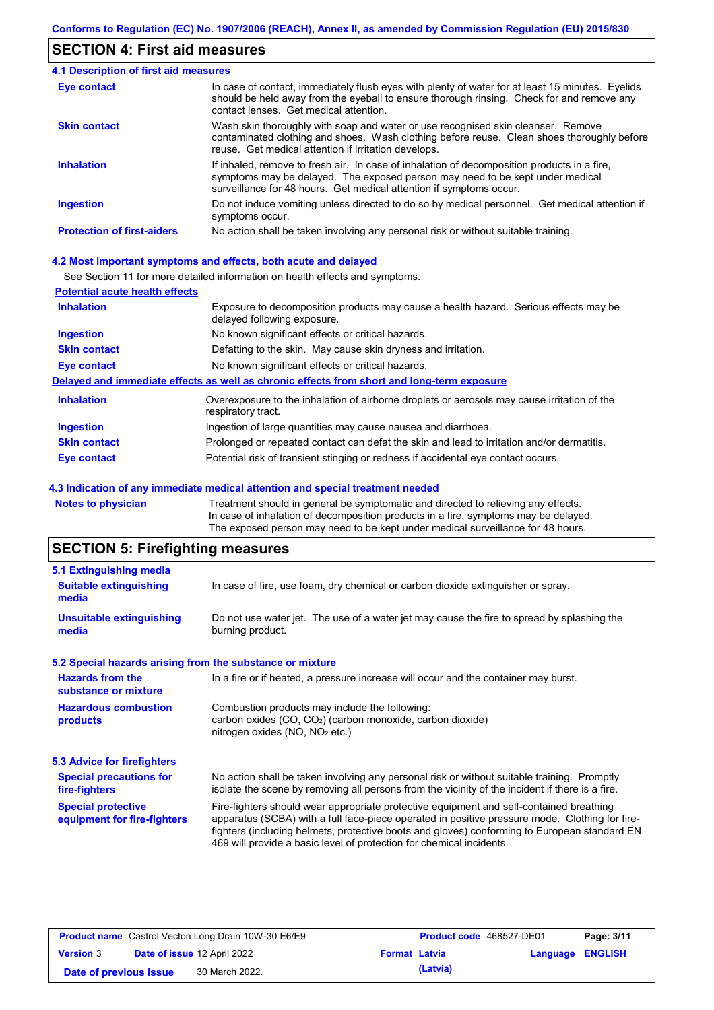## **SECTION 4: First aid measures**

| <b>4.1 Description of first aid measures</b> |                                                                                                                                                                                                                                                     |
|----------------------------------------------|-----------------------------------------------------------------------------------------------------------------------------------------------------------------------------------------------------------------------------------------------------|
| Eye contact                                  | In case of contact, immediately flush eyes with plenty of water for at least 15 minutes. Eyelids<br>should be held away from the eyeball to ensure thorough rinsing. Check for and remove any<br>contact lenses. Get medical attention.             |
| <b>Skin contact</b>                          | Wash skin thoroughly with soap and water or use recognised skin cleanser. Remove<br>contaminated clothing and shoes. Wash clothing before reuse. Clean shoes thoroughly before<br>reuse. Get medical attention if irritation develops.              |
| <b>Inhalation</b>                            | If inhaled, remove to fresh air. In case of inhalation of decomposition products in a fire,<br>symptoms may be delayed. The exposed person may need to be kept under medical<br>surveillance for 48 hours. Get medical attention if symptoms occur. |
| <b>Ingestion</b>                             | Do not induce vomiting unless directed to do so by medical personnel. Get medical attention if<br>symptoms occur.                                                                                                                                   |
| <b>Protection of first-aiders</b>            | No action shall be taken involving any personal risk or without suitable training.                                                                                                                                                                  |

#### **4.2 Most important symptoms and effects, both acute and delayed**

See Section 11 for more detailed information on health effects and symptoms.

| <b>Potential acute health effects</b> |                                                                                                                     |
|---------------------------------------|---------------------------------------------------------------------------------------------------------------------|
| <b>Inhalation</b>                     | Exposure to decomposition products may cause a health hazard. Serious effects may be<br>delayed following exposure. |
| <b>Ingestion</b>                      | No known significant effects or critical hazards.                                                                   |
| <b>Skin contact</b>                   | Defatting to the skin. May cause skin dryness and irritation.                                                       |
| <b>Eye contact</b>                    | No known significant effects or critical hazards.                                                                   |
|                                       | Delayed and immediate effects as well as chronic effects from short and long-term exposure                          |
| <b>Inhalation</b>                     | Overexposure to the inhalation of airborne droplets or aerosols may cause irritation of the<br>respiratory tract.   |
| <b>Ingestion</b>                      | Ingestion of large quantities may cause nausea and diarrhoea.                                                       |
| <b>Skin contact</b>                   | Prolonged or repeated contact can defat the skin and lead to irritation and/or dermatitis.                          |
| Eye contact                           | Potential risk of transient stinging or redness if accidental eye contact occurs.                                   |
|                                       |                                                                                                                     |

#### **4.3 Indication of any immediate medical attention and special treatment needed**

**Notes to physician** Treatment should in general be symptomatic and directed to relieving any effects. In case of inhalation of decomposition products in a fire, symptoms may be delayed. The exposed person may need to be kept under medical surveillance for 48 hours.

# **SECTION 5: Firefighting measures**

| 5.1 Extinguishing media                                                                                                                                                                                                                           |                                                                                                                                                                                                                                                                                                                                                                   |
|---------------------------------------------------------------------------------------------------------------------------------------------------------------------------------------------------------------------------------------------------|-------------------------------------------------------------------------------------------------------------------------------------------------------------------------------------------------------------------------------------------------------------------------------------------------------------------------------------------------------------------|
| <b>Suitable extinguishing</b><br>media                                                                                                                                                                                                            | In case of fire, use foam, dry chemical or carbon dioxide extinguisher or spray.                                                                                                                                                                                                                                                                                  |
| <b>Unsuitable extinguishing</b><br>media                                                                                                                                                                                                          | Do not use water jet. The use of a water jet may cause the fire to spread by splashing the<br>burning product.                                                                                                                                                                                                                                                    |
| 5.2 Special hazards arising from the substance or mixture                                                                                                                                                                                         |                                                                                                                                                                                                                                                                                                                                                                   |
| <b>Hazards from the</b><br>substance or mixture                                                                                                                                                                                                   | In a fire or if heated, a pressure increase will occur and the container may burst.                                                                                                                                                                                                                                                                               |
| <b>Hazardous combustion</b><br>products                                                                                                                                                                                                           | Combustion products may include the following:<br>carbon oxides $(CO, CO2)$ (carbon monoxide, carbon dioxide)<br>nitrogen oxides ( $NO$ , $NO2$ etc.)                                                                                                                                                                                                             |
| 5.3 Advice for firefighters                                                                                                                                                                                                                       |                                                                                                                                                                                                                                                                                                                                                                   |
| No action shall be taken involving any personal risk or without suitable training. Promptly<br><b>Special precautions for</b><br>isolate the scene by removing all persons from the vicinity of the incident if there is a fire.<br>fire-fighters |                                                                                                                                                                                                                                                                                                                                                                   |
| <b>Special protective</b><br>equipment for fire-fighters                                                                                                                                                                                          | Fire-fighters should wear appropriate protective equipment and self-contained breathing<br>apparatus (SCBA) with a full face-piece operated in positive pressure mode. Clothing for fire-<br>fighters (including helmets, protective boots and gloves) conforming to European standard EN<br>469 will provide a basic level of protection for chemical incidents. |

|                        | <b>Product name</b> Castrol Vecton Long Drain 10W-30 E6/E9 |                      | <b>Product code</b> 468527-DE01 |                         | Page: 3/11 |
|------------------------|------------------------------------------------------------|----------------------|---------------------------------|-------------------------|------------|
| <b>Version 3</b>       | <b>Date of issue 12 April 2022</b>                         | <b>Format Latvia</b> |                                 | <b>Language ENGLISH</b> |            |
| Date of previous issue | 30 March 2022.                                             |                      | (Latvia)                        |                         |            |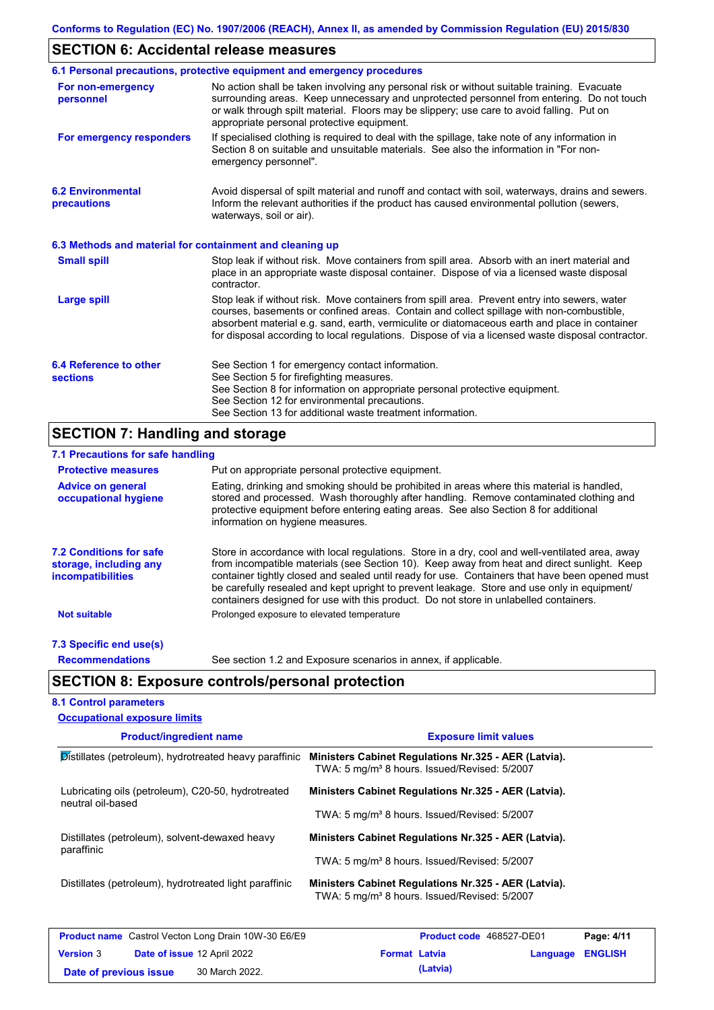# **SECTION 6: Accidental release measures**

|                                                          | 6.1 Personal precautions, protective equipment and emergency procedures                                                                                                                                                                                                                                                                                                                        |
|----------------------------------------------------------|------------------------------------------------------------------------------------------------------------------------------------------------------------------------------------------------------------------------------------------------------------------------------------------------------------------------------------------------------------------------------------------------|
| For non-emergency<br>personnel                           | No action shall be taken involving any personal risk or without suitable training. Evacuate<br>surrounding areas. Keep unnecessary and unprotected personnel from entering. Do not touch<br>or walk through spilt material. Floors may be slippery; use care to avoid falling. Put on<br>appropriate personal protective equipment.                                                            |
| For emergency responders                                 | If specialised clothing is required to deal with the spillage, take note of any information in<br>Section 8 on suitable and unsuitable materials. See also the information in "For non-<br>emergency personnel".                                                                                                                                                                               |
| <b>6.2 Environmental</b><br>precautions                  | Avoid dispersal of spilt material and runoff and contact with soil, waterways, drains and sewers.<br>Inform the relevant authorities if the product has caused environmental pollution (sewers,<br>waterways, soil or air).                                                                                                                                                                    |
| 6.3 Methods and material for containment and cleaning up |                                                                                                                                                                                                                                                                                                                                                                                                |
| <b>Small spill</b>                                       | Stop leak if without risk. Move containers from spill area. Absorb with an inert material and<br>place in an appropriate waste disposal container. Dispose of via a licensed waste disposal<br>contractor.                                                                                                                                                                                     |
| Large spill                                              | Stop leak if without risk. Move containers from spill area. Prevent entry into sewers, water<br>courses, basements or confined areas. Contain and collect spillage with non-combustible,<br>absorbent material e.g. sand, earth, vermiculite or diatomaceous earth and place in container<br>for disposal according to local regulations. Dispose of via a licensed waste disposal contractor. |
| 6.4 Reference to other<br><b>sections</b>                | See Section 1 for emergency contact information.<br>See Section 5 for firefighting measures.<br>See Section 8 for information on appropriate personal protective equipment.<br>See Section 12 for environmental precautions.<br>See Section 13 for additional waste treatment information.                                                                                                     |

# **SECTION 7: Handling and storage**

| 7.1 Precautions for safe handling                                                    |                                                                                                                                                                                                                                                                                                                                                                                                                                                                                          |
|--------------------------------------------------------------------------------------|------------------------------------------------------------------------------------------------------------------------------------------------------------------------------------------------------------------------------------------------------------------------------------------------------------------------------------------------------------------------------------------------------------------------------------------------------------------------------------------|
| <b>Protective measures</b>                                                           | Put on appropriate personal protective equipment.                                                                                                                                                                                                                                                                                                                                                                                                                                        |
| <b>Advice on general</b><br>occupational hygiene                                     | Eating, drinking and smoking should be prohibited in areas where this material is handled,<br>stored and processed. Wash thoroughly after handling. Remove contaminated clothing and<br>protective equipment before entering eating areas. See also Section 8 for additional<br>information on hygiene measures.                                                                                                                                                                         |
| <b>7.2 Conditions for safe</b><br>storage, including any<br><i>incompatibilities</i> | Store in accordance with local regulations. Store in a dry, cool and well-ventilated area, away<br>from incompatible materials (see Section 10). Keep away from heat and direct sunlight. Keep<br>container tightly closed and sealed until ready for use. Containers that have been opened must<br>be carefully resealed and kept upright to prevent leakage. Store and use only in equipment/<br>containers designed for use with this product. Do not store in unlabelled containers. |
| <b>Not suitable</b>                                                                  | Prolonged exposure to elevated temperature                                                                                                                                                                                                                                                                                                                                                                                                                                               |
| 7.3 Specific end use(s)                                                              |                                                                                                                                                                                                                                                                                                                                                                                                                                                                                          |
| <b>Recommendations</b>                                                               | See section 1.2 and Exposure scenarios in annex, if applicable.                                                                                                                                                                                                                                                                                                                                                                                                                          |
|                                                                                      | <b>SECTION 8: Exposure controls/personal protection</b>                                                                                                                                                                                                                                                                                                                                                                                                                                  |
| <b>8.1 Control parameters</b>                                                        |                                                                                                                                                                                                                                                                                                                                                                                                                                                                                          |

| <b>Occupational exposure limits</b>                                     |                                                                                                                  |                         |
|-------------------------------------------------------------------------|------------------------------------------------------------------------------------------------------------------|-------------------------|
| <b>Product/ingredient name</b>                                          | <b>Exposure limit values</b>                                                                                     |                         |
| Distillates (petroleum), hydrotreated heavy paraffinic                  | Ministers Cabinet Regulations Nr.325 - AER (Latvia).<br>TWA: 5 mg/m <sup>3</sup> 8 hours. Issued/Revised: 5/2007 |                         |
| Lubricating oils (petroleum), C20-50, hydrotreated<br>neutral oil-based | Ministers Cabinet Regulations Nr.325 - AER (Latvia).                                                             |                         |
|                                                                         | TWA: 5 mg/m <sup>3</sup> 8 hours. Issued/Revised: 5/2007                                                         |                         |
| Distillates (petroleum), solvent-dewaxed heavy<br>paraffinic            | Ministers Cabinet Regulations Nr.325 - AER (Latvia).                                                             |                         |
|                                                                         | TWA: 5 mg/m <sup>3</sup> 8 hours. Issued/Revised: 5/2007                                                         |                         |
| Distillates (petroleum), hydrotreated light paraffinic                  | Ministers Cabinet Regulations Nr.325 - AER (Latvia).<br>TWA: 5 mg/m <sup>3</sup> 8 hours. Issued/Revised: 5/2007 |                         |
| <b>Product name</b> Castrol Vector Long Drain 10W-30 E6/E9              | <b>Droduct code</b> A68527-DE01                                                                                  | D <sub>2</sub> na: A/44 |

|                        | <b>Product name</b> Castrol Vecton Long Drain 10W-30 E6/E9 |                      | <b>Product code</b> 468527-DE01 |                         | Page: 4/11 |
|------------------------|------------------------------------------------------------|----------------------|---------------------------------|-------------------------|------------|
| <b>Version 3</b>       | <b>Date of issue 12 April 2022</b>                         | <b>Format Latvia</b> |                                 | <b>Language ENGLISH</b> |            |
| Date of previous issue | 30 March 2022.                                             |                      | (Latvia)                        |                         |            |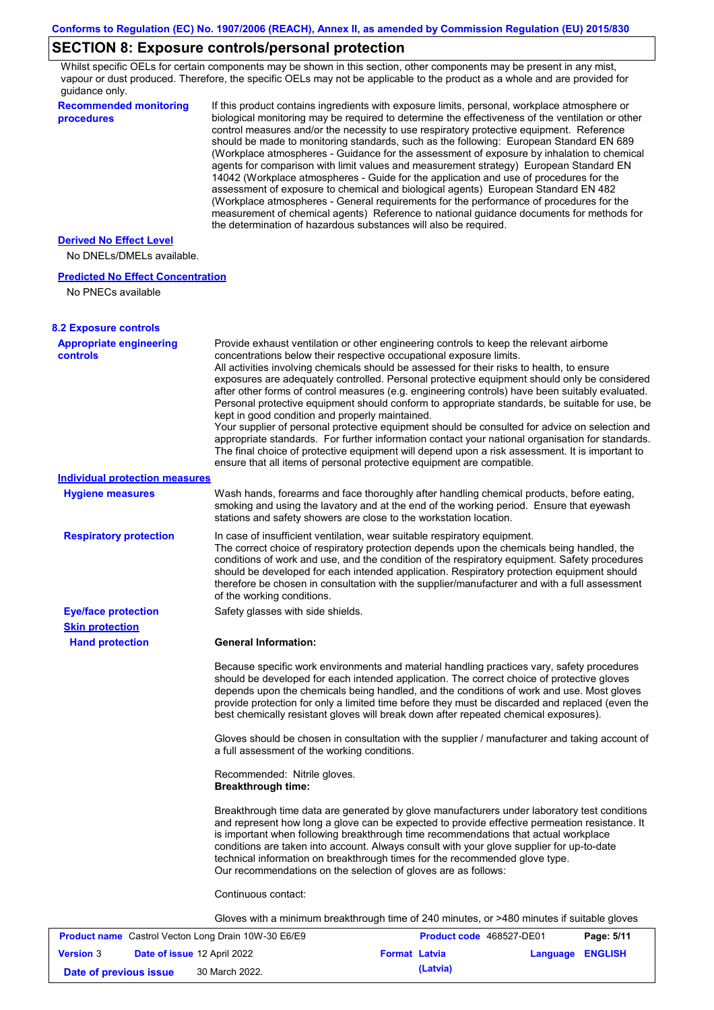# **SECTION 8: Exposure controls/personal protection**

Whilst specific OELs for certain components may be shown in this section, other components may be present in any mist, vapour or dust produced. Therefore, the specific OELs may not be applicable to the product as a whole and are provided for guidance only.

| <b>Recommended monitoring</b><br>procedures                    | If this product contains ingredients with exposure limits, personal, workplace atmosphere or<br>biological monitoring may be required to determine the effectiveness of the ventilation or other<br>control measures and/or the necessity to use respiratory protective equipment. Reference<br>should be made to monitoring standards, such as the following: European Standard EN 689<br>(Workplace atmospheres - Guidance for the assessment of exposure by inhalation to chemical<br>agents for comparison with limit values and measurement strategy) European Standard EN<br>14042 (Workplace atmospheres - Guide for the application and use of procedures for the<br>assessment of exposure to chemical and biological agents) European Standard EN 482<br>(Workplace atmospheres - General requirements for the performance of procedures for the<br>measurement of chemical agents) Reference to national guidance documents for methods for<br>the determination of hazardous substances will also be required. |                          |            |
|----------------------------------------------------------------|----------------------------------------------------------------------------------------------------------------------------------------------------------------------------------------------------------------------------------------------------------------------------------------------------------------------------------------------------------------------------------------------------------------------------------------------------------------------------------------------------------------------------------------------------------------------------------------------------------------------------------------------------------------------------------------------------------------------------------------------------------------------------------------------------------------------------------------------------------------------------------------------------------------------------------------------------------------------------------------------------------------------------|--------------------------|------------|
| <b>Derived No Effect Level</b><br>No DNELs/DMELs available.    |                                                                                                                                                                                                                                                                                                                                                                                                                                                                                                                                                                                                                                                                                                                                                                                                                                                                                                                                                                                                                            |                          |            |
| <b>Predicted No Effect Concentration</b><br>No PNECs available |                                                                                                                                                                                                                                                                                                                                                                                                                                                                                                                                                                                                                                                                                                                                                                                                                                                                                                                                                                                                                            |                          |            |
| <b>8.2 Exposure controls</b>                                   |                                                                                                                                                                                                                                                                                                                                                                                                                                                                                                                                                                                                                                                                                                                                                                                                                                                                                                                                                                                                                            |                          |            |
| <b>Appropriate engineering</b><br><b>controls</b>              | Provide exhaust ventilation or other engineering controls to keep the relevant airborne<br>concentrations below their respective occupational exposure limits.<br>All activities involving chemicals should be assessed for their risks to health, to ensure<br>exposures are adequately controlled. Personal protective equipment should only be considered<br>after other forms of control measures (e.g. engineering controls) have been suitably evaluated.<br>Personal protective equipment should conform to appropriate standards, be suitable for use, be<br>kept in good condition and properly maintained.<br>Your supplier of personal protective equipment should be consulted for advice on selection and<br>appropriate standards. For further information contact your national organisation for standards.<br>The final choice of protective equipment will depend upon a risk assessment. It is important to<br>ensure that all items of personal protective equipment are compatible.                    |                          |            |
| <b>Individual protection measures</b>                          |                                                                                                                                                                                                                                                                                                                                                                                                                                                                                                                                                                                                                                                                                                                                                                                                                                                                                                                                                                                                                            |                          |            |
| <b>Hygiene measures</b>                                        | Wash hands, forearms and face thoroughly after handling chemical products, before eating,<br>smoking and using the lavatory and at the end of the working period. Ensure that eyewash<br>stations and safety showers are close to the workstation location.                                                                                                                                                                                                                                                                                                                                                                                                                                                                                                                                                                                                                                                                                                                                                                |                          |            |
| <b>Respiratory protection</b>                                  | In case of insufficient ventilation, wear suitable respiratory equipment.<br>The correct choice of respiratory protection depends upon the chemicals being handled, the<br>conditions of work and use, and the condition of the respiratory equipment. Safety procedures<br>should be developed for each intended application. Respiratory protection equipment should<br>therefore be chosen in consultation with the supplier/manufacturer and with a full assessment<br>of the working conditions.                                                                                                                                                                                                                                                                                                                                                                                                                                                                                                                      |                          |            |
| <b>Eye/face protection</b>                                     | Safety glasses with side shields.                                                                                                                                                                                                                                                                                                                                                                                                                                                                                                                                                                                                                                                                                                                                                                                                                                                                                                                                                                                          |                          |            |
| <b>Skin protection</b>                                         |                                                                                                                                                                                                                                                                                                                                                                                                                                                                                                                                                                                                                                                                                                                                                                                                                                                                                                                                                                                                                            |                          |            |
| <b>Hand protection</b>                                         | <b>General Information:</b>                                                                                                                                                                                                                                                                                                                                                                                                                                                                                                                                                                                                                                                                                                                                                                                                                                                                                                                                                                                                |                          |            |
|                                                                | Because specific work environments and material handling practices vary, safety procedures<br>should be developed for each intended application. The correct choice of protective gloves<br>depends upon the chemicals being handled, and the conditions of work and use. Most gloves<br>provide protection for only a limited time before they must be discarded and replaced (even the<br>best chemically resistant gloves will break down after repeated chemical exposures).                                                                                                                                                                                                                                                                                                                                                                                                                                                                                                                                           |                          |            |
|                                                                | Gloves should be chosen in consultation with the supplier / manufacturer and taking account of<br>a full assessment of the working conditions.                                                                                                                                                                                                                                                                                                                                                                                                                                                                                                                                                                                                                                                                                                                                                                                                                                                                             |                          |            |
|                                                                | Recommended: Nitrile gloves.<br><b>Breakthrough time:</b>                                                                                                                                                                                                                                                                                                                                                                                                                                                                                                                                                                                                                                                                                                                                                                                                                                                                                                                                                                  |                          |            |
|                                                                | Breakthrough time data are generated by glove manufacturers under laboratory test conditions<br>and represent how long a glove can be expected to provide effective permeation resistance. It<br>is important when following breakthrough time recommendations that actual workplace<br>conditions are taken into account. Always consult with your glove supplier for up-to-date<br>technical information on breakthrough times for the recommended glove type.<br>Our recommendations on the selection of gloves are as follows:                                                                                                                                                                                                                                                                                                                                                                                                                                                                                         |                          |            |
|                                                                | Continuous contact:                                                                                                                                                                                                                                                                                                                                                                                                                                                                                                                                                                                                                                                                                                                                                                                                                                                                                                                                                                                                        |                          |            |
|                                                                | Gloves with a minimum breakthrough time of 240 minutes, or >480 minutes if suitable gloves                                                                                                                                                                                                                                                                                                                                                                                                                                                                                                                                                                                                                                                                                                                                                                                                                                                                                                                                 |                          |            |
| <b>Product name</b> Castrol Vecton Long Drain 10W-30 E6/E9     |                                                                                                                                                                                                                                                                                                                                                                                                                                                                                                                                                                                                                                                                                                                                                                                                                                                                                                                                                                                                                            | Product code 468527-DE01 | Page: 5/11 |

|                        | <b>Product name</b> Castrol Vecton Long Drain 10W-30 E6/E9 |                      |          | <b>Product code</b> 468527-DE01 | Page: 5/11 |
|------------------------|------------------------------------------------------------|----------------------|----------|---------------------------------|------------|
| <b>Version 3</b>       | Date of issue 12 April 2022                                | <b>Format Latvia</b> |          | Language ENGLISH                |            |
| Date of previous issue | 30 March 2022.                                             |                      | (Latvia) |                                 |            |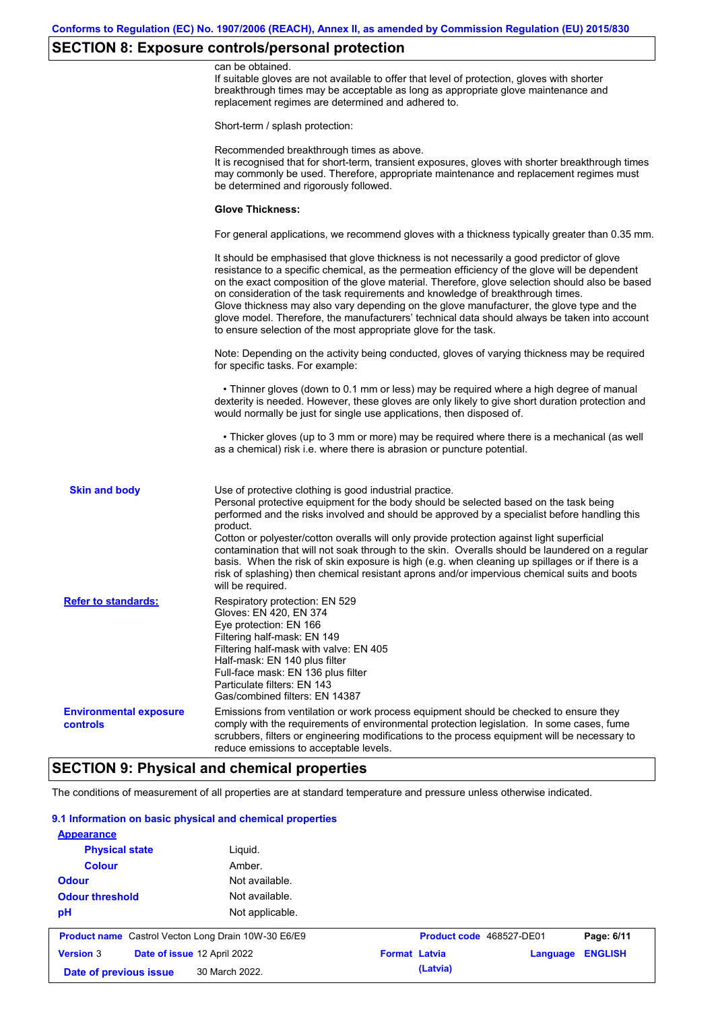# **SECTION 8: Exposure controls/personal protection**

|                                                  | can be obtained.<br>If suitable gloves are not available to offer that level of protection, gloves with shorter<br>breakthrough times may be acceptable as long as appropriate glove maintenance and<br>replacement regimes are determined and adhered to.                                                                                                                                                                                                                                                                                                                                                                                        |
|--------------------------------------------------|---------------------------------------------------------------------------------------------------------------------------------------------------------------------------------------------------------------------------------------------------------------------------------------------------------------------------------------------------------------------------------------------------------------------------------------------------------------------------------------------------------------------------------------------------------------------------------------------------------------------------------------------------|
|                                                  | Short-term / splash protection:                                                                                                                                                                                                                                                                                                                                                                                                                                                                                                                                                                                                                   |
|                                                  | Recommended breakthrough times as above.<br>It is recognised that for short-term, transient exposures, gloves with shorter breakthrough times<br>may commonly be used. Therefore, appropriate maintenance and replacement regimes must<br>be determined and rigorously followed.                                                                                                                                                                                                                                                                                                                                                                  |
|                                                  | <b>Glove Thickness:</b>                                                                                                                                                                                                                                                                                                                                                                                                                                                                                                                                                                                                                           |
|                                                  | For general applications, we recommend gloves with a thickness typically greater than 0.35 mm.                                                                                                                                                                                                                                                                                                                                                                                                                                                                                                                                                    |
|                                                  | It should be emphasised that glove thickness is not necessarily a good predictor of glove<br>resistance to a specific chemical, as the permeation efficiency of the glove will be dependent<br>on the exact composition of the glove material. Therefore, glove selection should also be based<br>on consideration of the task requirements and knowledge of breakthrough times.<br>Glove thickness may also vary depending on the glove manufacturer, the glove type and the<br>glove model. Therefore, the manufacturers' technical data should always be taken into account<br>to ensure selection of the most appropriate glove for the task. |
|                                                  | Note: Depending on the activity being conducted, gloves of varying thickness may be required<br>for specific tasks. For example:                                                                                                                                                                                                                                                                                                                                                                                                                                                                                                                  |
|                                                  | • Thinner gloves (down to 0.1 mm or less) may be required where a high degree of manual<br>dexterity is needed. However, these gloves are only likely to give short duration protection and<br>would normally be just for single use applications, then disposed of.                                                                                                                                                                                                                                                                                                                                                                              |
|                                                  | • Thicker gloves (up to 3 mm or more) may be required where there is a mechanical (as well<br>as a chemical) risk i.e. where there is abrasion or puncture potential.                                                                                                                                                                                                                                                                                                                                                                                                                                                                             |
| <b>Skin and body</b>                             | Use of protective clothing is good industrial practice.<br>Personal protective equipment for the body should be selected based on the task being<br>performed and the risks involved and should be approved by a specialist before handling this<br>product.                                                                                                                                                                                                                                                                                                                                                                                      |
|                                                  | Cotton or polyester/cotton overalls will only provide protection against light superficial<br>contamination that will not soak through to the skin. Overalls should be laundered on a regular<br>basis. When the risk of skin exposure is high (e.g. when cleaning up spillages or if there is a<br>risk of splashing) then chemical resistant aprons and/or impervious chemical suits and boots<br>will be required.                                                                                                                                                                                                                             |
| <b>Refer to standards:</b>                       | Respiratory protection: EN 529<br>Gloves: EN 420, EN 374<br>Eye protection: EN 166<br>Filtering half-mask: EN 149<br>Filtering half-mask with valve: EN 405<br>Half-mask: EN 140 plus filter<br>Full-face mask: EN 136 plus filter<br>Particulate filters: EN 143<br>Gas/combined filters: EN 14387                                                                                                                                                                                                                                                                                                                                               |
| <b>Environmental exposure</b><br><b>controls</b> | Emissions from ventilation or work process equipment should be checked to ensure they<br>comply with the requirements of environmental protection legislation. In some cases, fume<br>scrubbers, filters or engineering modifications to the process equipment will be necessary to<br>reduce emissions to acceptable levels.                                                                                                                                                                                                                                                                                                                     |
|                                                  |                                                                                                                                                                                                                                                                                                                                                                                                                                                                                                                                                                                                                                                   |

## **SECTION 9: Physical and chemical properties**

The conditions of measurement of all properties are at standard temperature and pressure unless otherwise indicated.

### **9.1 Information on basic physical and chemical properties**

| <b>Odour threshold</b> | Not available.                                             |                          |                            |  |
|------------------------|------------------------------------------------------------|--------------------------|----------------------------|--|
| pH                     | Not applicable.                                            |                          |                            |  |
|                        | <b>Product name</b> Castrol Vecton Long Drain 10W-30 E6/E9 | Product code 468527-DE01 | Page: 6/11                 |  |
|                        |                                                            |                          |                            |  |
| <b>Version 3</b>       | Date of issue 12 April 2022                                | <b>Format Latvia</b>     | <b>ENGLISH</b><br>Language |  |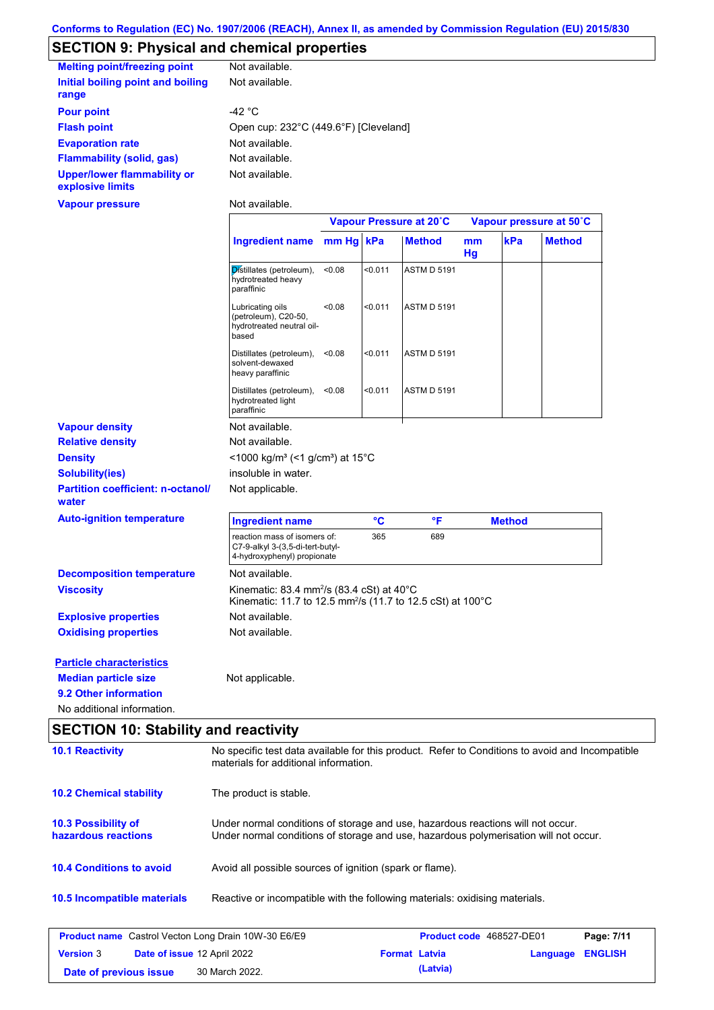# **SECTION 9: Physical and chemical properties**

| <b>Melting point/freezing point</b>                    | Not available.                        |
|--------------------------------------------------------|---------------------------------------|
| Initial boiling point and boiling                      | Not available.                        |
| range                                                  |                                       |
| <b>Pour point</b>                                      | -42 $^{\circ}$ C                      |
| <b>Flash point</b>                                     | Open cup: 232°C (449.6°F) [Cleveland] |
| <b>Evaporation rate</b>                                | Not available.                        |
| <b>Flammability (solid, gas)</b>                       | Not available.                        |
| <b>Upper/lower flammability or</b><br>explosive limits | Not available.                        |
| Vapour pressure                                        | Not available.                        |

|                                                   |                                                                                                                                            | Vapour Pressure at 20°C |         |                    | Vapour pressure at 50°C |               |               |
|---------------------------------------------------|--------------------------------------------------------------------------------------------------------------------------------------------|-------------------------|---------|--------------------|-------------------------|---------------|---------------|
|                                                   | <b>Ingredient name</b>                                                                                                                     | mm Hg kPa               |         | <b>Method</b>      | mm<br>Hg                | kPa           | <b>Method</b> |
|                                                   | Distillates (petroleum),<br>hydrotreated heavy<br>paraffinic                                                                               | < 0.08                  | < 0.011 | <b>ASTM D 5191</b> |                         |               |               |
|                                                   | Lubricating oils<br>(petroleum), C20-50,<br>hydrotreated neutral oil-<br>based                                                             | < 0.08                  | < 0.011 | <b>ASTM D 5191</b> |                         |               |               |
|                                                   | Distillates (petroleum),<br>solvent-dewaxed<br>heavy paraffinic                                                                            | < 0.08                  | < 0.011 | <b>ASTM D 5191</b> |                         |               |               |
|                                                   | Distillates (petroleum),<br>hydrotreated light<br>paraffinic                                                                               | < 0.08                  | < 0.011 | <b>ASTM D 5191</b> |                         |               |               |
| <b>Vapour density</b>                             | Not available.                                                                                                                             |                         |         |                    |                         |               |               |
| <b>Relative density</b>                           | Not available.                                                                                                                             |                         |         |                    |                         |               |               |
| <b>Density</b>                                    | <1000 kg/m <sup>3</sup> (<1 g/cm <sup>3</sup> ) at 15°C                                                                                    |                         |         |                    |                         |               |               |
| <b>Solubility(ies)</b>                            | insoluble in water.                                                                                                                        |                         |         |                    |                         |               |               |
| <b>Partition coefficient: n-octanol/</b><br>water | Not applicable.                                                                                                                            |                         |         |                    |                         |               |               |
| <b>Auto-ignition temperature</b>                  | <b>Ingredient name</b>                                                                                                                     |                         | °C      | $\mathsf{P}$       |                         | <b>Method</b> |               |
|                                                   | reaction mass of isomers of:<br>C7-9-alkyl 3-(3,5-di-tert-butyl-<br>4-hydroxyphenyl) propionate                                            |                         | 365     | 689                |                         |               |               |
| <b>Decomposition temperature</b>                  | Not available.                                                                                                                             |                         |         |                    |                         |               |               |
| <b>Viscosity</b>                                  | Kinematic: 83.4 mm <sup>2</sup> /s (83.4 cSt) at 40 $^{\circ}$ C<br>Kinematic: 11.7 to 12.5 mm <sup>2</sup> /s (11.7 to 12.5 cSt) at 100°C |                         |         |                    |                         |               |               |
| <b>Explosive properties</b>                       | Not available.                                                                                                                             |                         |         |                    |                         |               |               |
| <b>Oxidising properties</b>                       | Not available.                                                                                                                             |                         |         |                    |                         |               |               |
| <b>Particle characteristics</b>                   |                                                                                                                                            |                         |         |                    |                         |               |               |
| <b>Median particle size</b>                       | Not applicable.                                                                                                                            |                         |         |                    |                         |               |               |
| 9.2 Other information                             |                                                                                                                                            |                         |         |                    |                         |               |               |
| No additional information.                        |                                                                                                                                            |                         |         |                    |                         |               |               |

# **SECTION 10: Stability and reactivity**

| <b>10.1 Reactivity</b>                                     | No specific test data available for this product. Refer to Conditions to avoid and Incompatible<br>materials for additional information.                                |          |                |
|------------------------------------------------------------|-------------------------------------------------------------------------------------------------------------------------------------------------------------------------|----------|----------------|
| <b>10.2 Chemical stability</b>                             | The product is stable.                                                                                                                                                  |          |                |
| <b>10.3 Possibility of</b><br>hazardous reactions          | Under normal conditions of storage and use, hazardous reactions will not occur.<br>Under normal conditions of storage and use, hazardous polymerisation will not occur. |          |                |
| <b>10.4 Conditions to avoid</b>                            | Avoid all possible sources of ignition (spark or flame).                                                                                                                |          |                |
| <b>10.5 Incompatible materials</b>                         | Reactive or incompatible with the following materials: oxidising materials.                                                                                             |          |                |
| <b>Product name</b> Castrol Vecton Long Drain 10W-30 E6/E9 | Product code 468527-DE01                                                                                                                                                |          | Page: 7/11     |
| <b>Version 3</b><br>Date of issue 12 April 2022            | <b>Format Latvia</b>                                                                                                                                                    | Language | <b>ENGLISH</b> |

**Date of previous issue 30 March 2022. (Latvia) (Latvia)**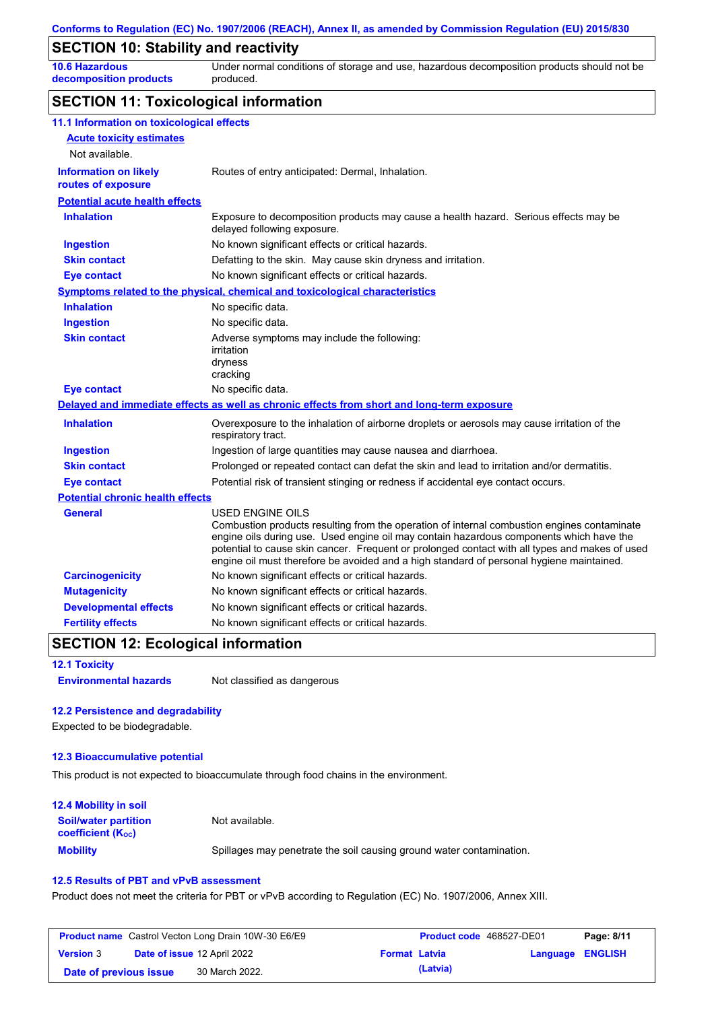### **SECTION 10: Stability and reactivity**

**10.6 Hazardous decomposition products** Under normal conditions of storage and use, hazardous decomposition products should not be produced.

## **SECTION 11: Toxicological information**

| 11.1 Information on toxicological effects          |                                                                                                                                                                                                                                                                                                                                                                                                                 |
|----------------------------------------------------|-----------------------------------------------------------------------------------------------------------------------------------------------------------------------------------------------------------------------------------------------------------------------------------------------------------------------------------------------------------------------------------------------------------------|
| <b>Acute toxicity estimates</b>                    |                                                                                                                                                                                                                                                                                                                                                                                                                 |
| Not available.                                     |                                                                                                                                                                                                                                                                                                                                                                                                                 |
| <b>Information on likely</b><br>routes of exposure | Routes of entry anticipated: Dermal, Inhalation.                                                                                                                                                                                                                                                                                                                                                                |
| <b>Potential acute health effects</b>              |                                                                                                                                                                                                                                                                                                                                                                                                                 |
| <b>Inhalation</b>                                  | Exposure to decomposition products may cause a health hazard. Serious effects may be<br>delayed following exposure.                                                                                                                                                                                                                                                                                             |
| <b>Ingestion</b>                                   | No known significant effects or critical hazards.                                                                                                                                                                                                                                                                                                                                                               |
| <b>Skin contact</b>                                | Defatting to the skin. May cause skin dryness and irritation.                                                                                                                                                                                                                                                                                                                                                   |
| <b>Eye contact</b>                                 | No known significant effects or critical hazards.                                                                                                                                                                                                                                                                                                                                                               |
|                                                    | Symptoms related to the physical, chemical and toxicological characteristics                                                                                                                                                                                                                                                                                                                                    |
| <b>Inhalation</b>                                  | No specific data.                                                                                                                                                                                                                                                                                                                                                                                               |
| <b>Ingestion</b>                                   | No specific data.                                                                                                                                                                                                                                                                                                                                                                                               |
| <b>Skin contact</b>                                | Adverse symptoms may include the following:<br>irritation<br>dryness<br>cracking                                                                                                                                                                                                                                                                                                                                |
| <b>Eye contact</b>                                 | No specific data.                                                                                                                                                                                                                                                                                                                                                                                               |
|                                                    | Delayed and immediate effects as well as chronic effects from short and long-term exposure                                                                                                                                                                                                                                                                                                                      |
| <b>Inhalation</b>                                  | Overexposure to the inhalation of airborne droplets or aerosols may cause irritation of the<br>respiratory tract.                                                                                                                                                                                                                                                                                               |
| <b>Ingestion</b>                                   | Ingestion of large quantities may cause nausea and diarrhoea.                                                                                                                                                                                                                                                                                                                                                   |
| <b>Skin contact</b>                                | Prolonged or repeated contact can defat the skin and lead to irritation and/or dermatitis.                                                                                                                                                                                                                                                                                                                      |
| <b>Eye contact</b>                                 | Potential risk of transient stinging or redness if accidental eye contact occurs.                                                                                                                                                                                                                                                                                                                               |
| <b>Potential chronic health effects</b>            |                                                                                                                                                                                                                                                                                                                                                                                                                 |
| General                                            | <b>USED ENGINE OILS</b><br>Combustion products resulting from the operation of internal combustion engines contaminate<br>engine oils during use. Used engine oil may contain hazardous components which have the<br>potential to cause skin cancer. Frequent or prolonged contact with all types and makes of used<br>engine oil must therefore be avoided and a high standard of personal hygiene maintained. |
| <b>Carcinogenicity</b>                             | No known significant effects or critical hazards.                                                                                                                                                                                                                                                                                                                                                               |
| <b>Mutagenicity</b>                                | No known significant effects or critical hazards.                                                                                                                                                                                                                                                                                                                                                               |
| <b>Developmental effects</b>                       | No known significant effects or critical hazards.                                                                                                                                                                                                                                                                                                                                                               |
| <b>Fertility effects</b>                           | No known significant effects or critical hazards.                                                                                                                                                                                                                                                                                                                                                               |

### **SECTION 12: Ecological information**

**Environmental hazards** Not classified as dangerous

#### **12.2 Persistence and degradability**

Expected to be biodegradable.

#### **12.3 Bioaccumulative potential**

This product is not expected to bioaccumulate through food chains in the environment.

| <b>12.4 Mobility in soil</b>                                  |                                                                      |
|---------------------------------------------------------------|----------------------------------------------------------------------|
| <b>Soil/water partition</b><br>coefficient (K <sub>oc</sub> ) | Not available.                                                       |
| <b>Mobility</b>                                               | Spillages may penetrate the soil causing ground water contamination. |

#### **12.5 Results of PBT and vPvB assessment**

Product does not meet the criteria for PBT or vPvB according to Regulation (EC) No. 1907/2006, Annex XIII.

| <b>Product name</b> Castrol Vecton Long Drain 10W-30 E6/E9 |  |                                    | <b>Product code</b> 468527-DE01 |          | Page: 8/11       |  |
|------------------------------------------------------------|--|------------------------------------|---------------------------------|----------|------------------|--|
| <b>Version 3</b>                                           |  | <b>Date of issue 12 April 2022</b> | <b>Format Latvia</b>            |          | Language ENGLISH |  |
| Date of previous issue                                     |  | 30 March 2022.                     |                                 | (Latvia) |                  |  |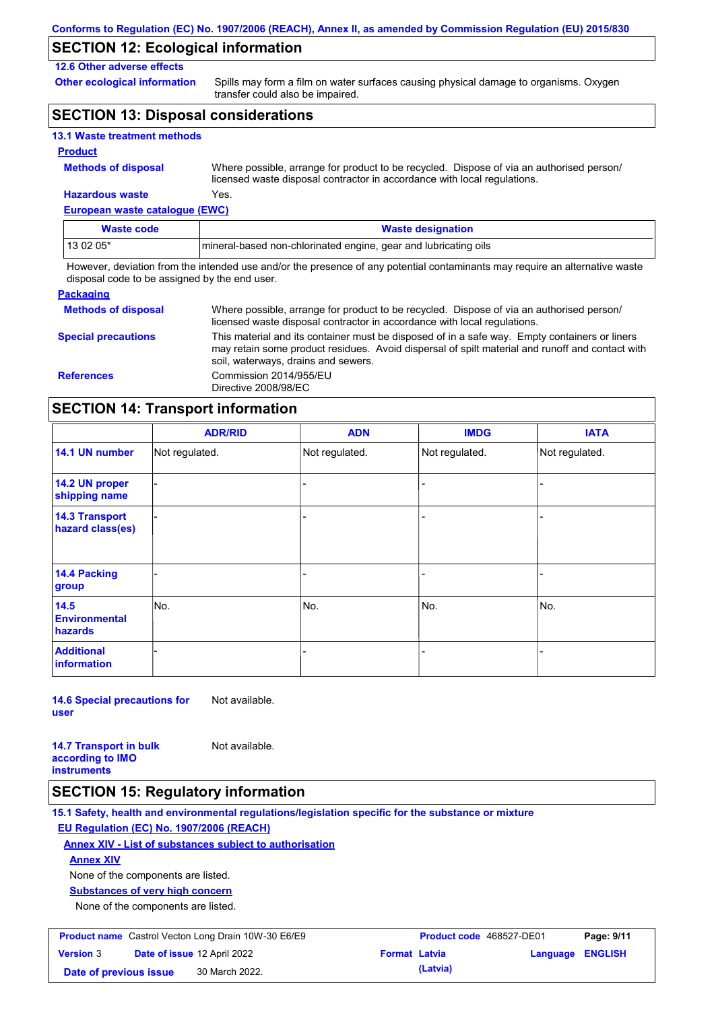## **SECTION 12: Ecological information**

### **12.6 Other adverse effects**

**Other ecological information**

Spills may form a film on water surfaces causing physical damage to organisms. Oxygen transfer could also be impaired.

## **SECTION 13: Disposal considerations**

|  |  | <b>13.1 Waste treatment methods</b> |  |
|--|--|-------------------------------------|--|
|--|--|-------------------------------------|--|

#### **Product**

**Methods of disposal**

**Hazardous waste** Yes. Where possible, arrange for product to be recycled. Dispose of via an authorised person/ licensed waste disposal contractor in accordance with local regulations.

**European waste catalogue (EWC)**

| Waste code | <b>Waste designation</b>                                         |
|------------|------------------------------------------------------------------|
| 13 02 05*  | Imineral-based non-chlorinated engine, gear and lubricating oils |

However, deviation from the intended use and/or the presence of any potential contaminants may require an alternative waste disposal code to be assigned by the end user.

| <b>Packaging</b>           |                                                                                                                                                                                                                                         |
|----------------------------|-----------------------------------------------------------------------------------------------------------------------------------------------------------------------------------------------------------------------------------------|
| <b>Methods of disposal</b> | Where possible, arrange for product to be recycled. Dispose of via an authorised person/<br>licensed waste disposal contractor in accordance with local regulations.                                                                    |
| <b>Special precautions</b> | This material and its container must be disposed of in a safe way. Empty containers or liners<br>may retain some product residues. Avoid dispersal of spilt material and runoff and contact with<br>soil, waterways, drains and sewers. |
| <b>References</b>          | Commission 2014/955/EU<br>Directive 2008/98/EC                                                                                                                                                                                          |

### **SECTION 14: Transport information**

|                                           | <b>ADR/RID</b> | <b>ADN</b>     | <b>IMDG</b>    | <b>IATA</b>    |  |
|-------------------------------------------|----------------|----------------|----------------|----------------|--|
| 14.1 UN number                            | Not regulated. | Not regulated. | Not regulated. | Not regulated. |  |
| 14.2 UN proper<br>shipping name           |                |                |                |                |  |
| <b>14.3 Transport</b><br>hazard class(es) |                |                |                |                |  |
| <b>14.4 Packing</b><br>group              |                |                |                |                |  |
| 14.5<br><b>Environmental</b><br>hazards   | No.            | No.            | No.            | No.            |  |
| <b>Additional</b><br>information          |                |                |                |                |  |

**14.6 Special precautions for user** Not available.

**14.7 Transport in bulk according to IMO instruments** Not available.

### **SECTION 15: Regulatory information**

**15.1 Safety, health and environmental regulations/legislation specific for the substance or mixture EU Regulation (EC) No. 1907/2006 (REACH)**

### **Annex XIV - List of substances subject to authorisation**

**Annex XIV**

None of the components are listed.

**Substances of very high concern**

None of the components are listed.

| <b>Product name</b> Castrol Vecton Long Drain 10W-30 E6/E9 |  |                                    | <b>Product code</b> 468527-DE01 | Page: 9/11 |                         |  |
|------------------------------------------------------------|--|------------------------------------|---------------------------------|------------|-------------------------|--|
| <b>Version 3</b>                                           |  | <b>Date of issue 12 April 2022</b> | <b>Format Latvia</b>            |            | <b>Language ENGLISH</b> |  |
| Date of previous issue                                     |  | 30 March 2022.                     |                                 | (Latvia)   |                         |  |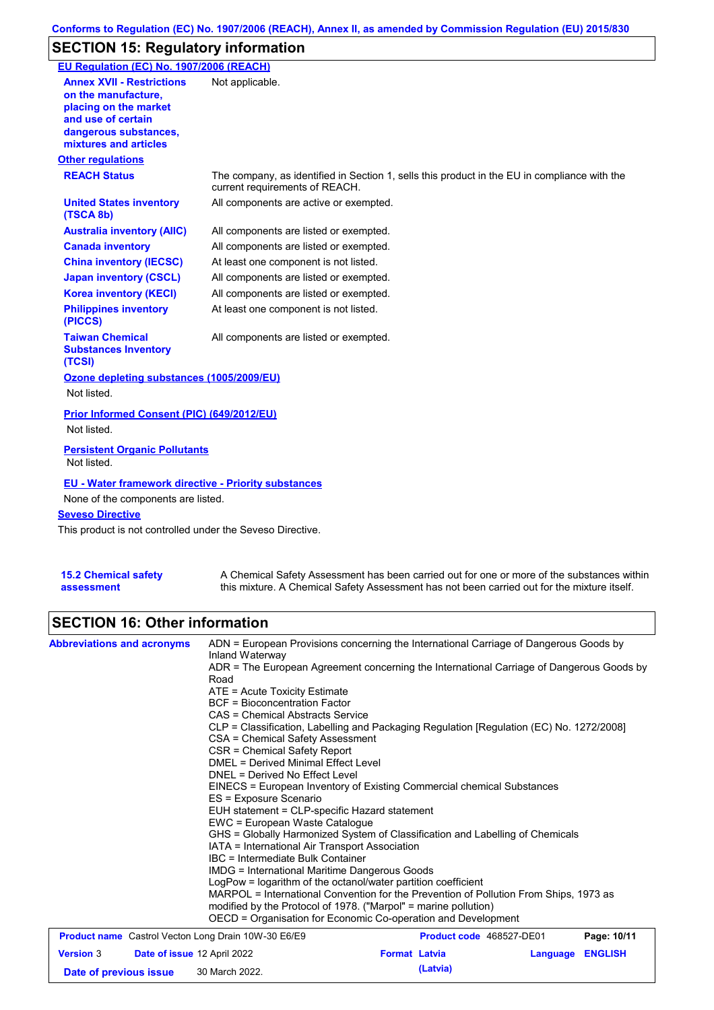## **SECTION 15: Regulatory information**

| EU Regulation (EC) No. 1907/2006 (REACH)                                                                                                                 |                                                                                                                                |
|----------------------------------------------------------------------------------------------------------------------------------------------------------|--------------------------------------------------------------------------------------------------------------------------------|
| <b>Annex XVII - Restrictions</b><br>on the manufacture.<br>placing on the market<br>and use of certain<br>dangerous substances,<br>mixtures and articles | Not applicable.                                                                                                                |
| <b>Other regulations</b>                                                                                                                                 |                                                                                                                                |
| <b>REACH Status</b>                                                                                                                                      | The company, as identified in Section 1, sells this product in the EU in compliance with the<br>current requirements of REACH. |
| <b>United States inventory</b><br>(TSCA 8b)                                                                                                              | All components are active or exempted.                                                                                         |
| <b>Australia inventory (AIIC)</b>                                                                                                                        | All components are listed or exempted.                                                                                         |
| <b>Canada inventory</b>                                                                                                                                  | All components are listed or exempted.                                                                                         |
| <b>China inventory (IECSC)</b>                                                                                                                           | At least one component is not listed.                                                                                          |
| <b>Japan inventory (CSCL)</b>                                                                                                                            | All components are listed or exempted.                                                                                         |
| <b>Korea inventory (KECI)</b>                                                                                                                            | All components are listed or exempted.                                                                                         |
| <b>Philippines inventory</b><br>(PICCS)                                                                                                                  | At least one component is not listed.                                                                                          |
| <b>Taiwan Chemical</b><br><b>Substances Inventory</b><br>(TCSI)                                                                                          | All components are listed or exempted.                                                                                         |
| Ozone depleting substances (1005/2009/EU)                                                                                                                |                                                                                                                                |
| Not listed.                                                                                                                                              |                                                                                                                                |
| Prior Informed Consent (PIC) (649/2012/EU)<br>Not listed.                                                                                                |                                                                                                                                |
| <b>Persistent Organic Pollutants</b><br>Not listed.                                                                                                      |                                                                                                                                |
| <b>EU - Water framework directive - Priority substances</b><br>None of the components are listed.<br><b>Seveso Directive</b>                             |                                                                                                                                |
| This product is not controlled under the Seveso Directive.                                                                                               |                                                                                                                                |
|                                                                                                                                                          |                                                                                                                                |

| <b>15.2 Chemical safety</b> |  |
|-----------------------------|--|
| assessment                  |  |

A Chemical Safety Assessment has been carried out for one or more of the substances within this mixture. A Chemical Safety Assessment has not been carried out for the mixture itself.

## **SECTION 16: Other information**

| <b>Abbreviations and acronyms</b>                                         | ADN = European Provisions concerning the International Carriage of Dangerous Goods by<br>Inland Waterway<br>ADR = The European Agreement concerning the International Carriage of Dangerous Goods by<br>Road<br>ATE = Acute Toxicity Estimate<br><b>BCF</b> = Bioconcentration Factor<br>CAS = Chemical Abstracts Service<br>CLP = Classification, Labelling and Packaging Regulation [Regulation (EC) No. 1272/2008]<br>CSA = Chemical Safety Assessment<br>CSR = Chemical Safety Report<br><b>DMEL = Derived Minimal Effect Level</b><br>DNEL = Derived No Effect Level<br>EINECS = European Inventory of Existing Commercial chemical Substances<br>ES = Exposure Scenario<br>EUH statement = CLP-specific Hazard statement<br>EWC = European Waste Catalogue<br>GHS = Globally Harmonized System of Classification and Labelling of Chemicals<br>IATA = International Air Transport Association<br>IBC = Intermediate Bulk Container<br><b>IMDG</b> = International Maritime Dangerous Goods<br>LogPow = logarithm of the octanol/water partition coefficient<br>MARPOL = International Convention for the Prevention of Pollution From Ships, 1973 as<br>modified by the Protocol of 1978. ("Marpol" = marine pollution) |                      |                          |          |                |
|---------------------------------------------------------------------------|-------------------------------------------------------------------------------------------------------------------------------------------------------------------------------------------------------------------------------------------------------------------------------------------------------------------------------------------------------------------------------------------------------------------------------------------------------------------------------------------------------------------------------------------------------------------------------------------------------------------------------------------------------------------------------------------------------------------------------------------------------------------------------------------------------------------------------------------------------------------------------------------------------------------------------------------------------------------------------------------------------------------------------------------------------------------------------------------------------------------------------------------------------------------------------------------------------------------------------|----------------------|--------------------------|----------|----------------|
|                                                                           | OECD = Organisation for Economic Co-operation and Development                                                                                                                                                                                                                                                                                                                                                                                                                                                                                                                                                                                                                                                                                                                                                                                                                                                                                                                                                                                                                                                                                                                                                                 |                      |                          |          |                |
| <b>Product name</b> Castrol Vecton Long Drain 10W-30 E6/E9                |                                                                                                                                                                                                                                                                                                                                                                                                                                                                                                                                                                                                                                                                                                                                                                                                                                                                                                                                                                                                                                                                                                                                                                                                                               |                      | Product code 468527-DE01 |          | Page: 10/11    |
| <b>Version 3</b><br>Date of issue 12 April 2022<br>Date of previous issue | 30 March 2022.                                                                                                                                                                                                                                                                                                                                                                                                                                                                                                                                                                                                                                                                                                                                                                                                                                                                                                                                                                                                                                                                                                                                                                                                                | <b>Format Latvia</b> | (Latvia)                 | Language | <b>ENGLISH</b> |